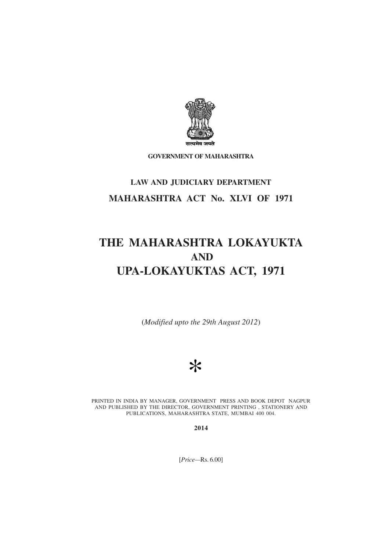

**GOVERNMENT OF MAHARASHTRA**

## **LAW AND JUDICIARY DEPARTMENT MAHARASHTRA ACT No. XLVI OF 1971**

# **THE MAHARASHTRA LOKAYUKTA AND UPA-LOKAYUKTAS ACT, 1971**

(*Modified upto the 29th August 2012*)



PRINTED IN INDIA BY MANAGER, GOVERNMENT PRESS AND BOOK DEPOT NAGPUR AND PUBLISHED BY THE DIRECTOR, GOVERNMENT PRINTING , STATIONERY AND PUBLICATIONS, MAHARASHTRA STATE, MUMBAI 400 004.

**2014**

[*Price—*Rs. 6.00]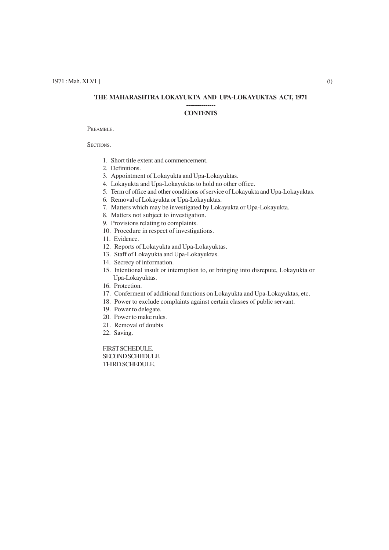## **THE MAHARASHTRA LOKAYUKTA AND UPA-LOKAYUKTAS ACT, 1971**

#### **--------------- CONTENTS**

#### PREAMBLE.

SECTIONS.

- 1. Short title extent and commencement.
- 2. Definitions.
- 3. Appointment of Lokayukta and Upa-Lokayuktas.
- 4. Lokayukta and Upa-Lokayuktas to hold no other office.
- 5. Term of office and other conditions of service of Lokayukta and Upa-Lokayuktas.
- 6. Removal of Lokayukta or Upa-Lokayuktas.
- 7. Matters which may be investigated by Lokayukta or Upa-Lokayukta.
- 8. Matters not subject to investigation.
- 9. Provisions relating to complaints.
- 10. Procedure in respect of investigations.
- 11. Evidence.
- 12. Reports of Lokayukta and Upa-Lokayuktas.
- 13. Staff of Lokayukta and Upa-Lokayuktas.
- 14. Secrecy of information.
- 15. Intentional insult or interruption to, or bringing into disrepute, Lokayukta or Upa-Lokayuktas.
- 16. Protection.
- 17. Conferment of additional functions on Lokayukta and Upa-Lokayuktas, etc.
- 18. Power to exclude complaints against certain classes of public servant.
- 19. Power to delegate.
- 20. Power to make rules.
- 21. Removal of doubts
- 22. Saving.

FIRST SCHEDULE. SECOND SCHEDULE. THIRD SCHEDULE.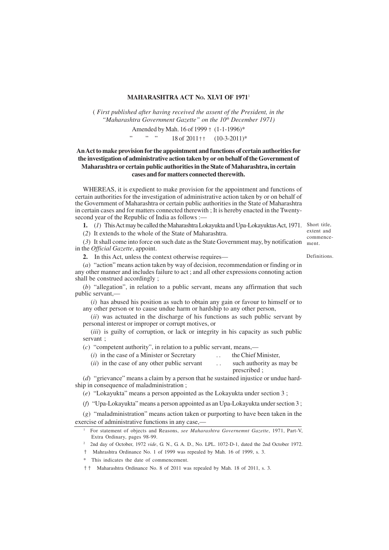## **MAHARASHTRA ACT NO. XLVI OF 1971**<sup>1</sup>

( *First published after having received the assent of the President, in the "Maharashtra Government Gazette" on the 10th December 1971)*

Amended by Mah. 16 of 1999 † (1-1-1996)\*

" "  $" 18 \text{ of } 2011 \text{ + } (10-3-2011)^*$ 

## **An Act to make provision for the appointment and functions of certain authorities for the investigation of administrative action taken by or on behalf of the Government of Maharashtra or certain public authorities in the State of Maharashtra, in certain cases and for matters connected therewith.**

WHEREAS, it is expedient to make provision for the appointment and functions of certain authorities for the investigation of administrative action taken by or on behalf of the Government of Maharashtra or certain public authorities in the State of Maharashtra in certain cases and for matters connected therewith ; It is hereby enacted in the Twentysecond year of the Republic of India as follows :—

**1.** (*1*) This Act may be called the Maharashtra Lokayukta and Upa-Lokayuktas Act, 1971. Short title,

(*2*) It extends to the whole of the State of Maharashtra.

(*3*) It shall come into force on such date as the State Government may, by notification in the *Official Gazette*, appoint.

Definitions.

extent and commencement.

**2.** In this Act, unless the context otherwise requires— (*a*) "action" means action taken by way of decision, recommendation or finding or in

any other manner and includes failure to act ; and all other expressions connoting action shall be construed accordingly ;

(*b*) "allegation", in relation to a public servant, means any affirmation that such public servant,-

(*i*) has abused his position as such to obtain any gain or favour to himself or to any other person or to cause undue harm or hardship to any other person,

(*ii*) was actuated in the discharge of his functions as such public servant by personal interest or improper or corrupt motives, or

(*iii*) is guilty of corruption, or lack or integrity in his capacity as such public servant ;

(*c*) "competent authority", in relation to a public servant, means,—

- (*i*) in the case of a Minister or Secretary . . the Chief Minister,
	-

(*ii*) in the case of any other public servant . . . such authority as may be prescribed ;

(*d*) "grievance" means a claim by a person that he sustained injustice or undue hardship in consequence of maladministration ;

(*e*) "Lokayukta" means a person appointed as the Lokayukta under section 3 ;

(*f*) "Upa-Lokayukta" means a person appointed as an Upa-Lokayukta under section 3 ;

(*g*) "maladministration" means action taken or purporting to have been taken in the exercise of administrative functions in any case,—

<sup>2</sup> 2nd day of October, 1972 *vide*, G. N., G. A. D., No. LPL. 1072-D-1, dated the 2nd October 1972.

† Mahrashtra Ordinance No. 1 of 1999 was repealed by Mah. 16 of 1999, s. 3.

\* This indicates the date of commencement.

†† Maharashtra Ordinance No. 8 of 2011 was repealed by Mah. 18 of 2011, s. 3.

<sup>1</sup> For statement of objects and Reasons, *see Maharashtra Governemnt Gazette*, 1971, Part-V, Extra Ordinary, pages 98-99.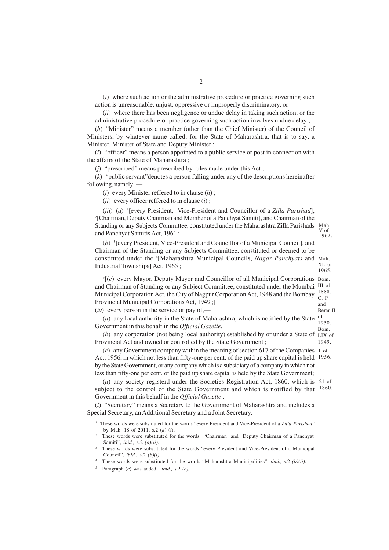(*i*) where such action or the administrative procedure or practice governing such action is unreasonable, unjust, oppressive or improperly discriminatory, or

(*ii*) where there has been negligence or undue delay in taking such action, or the administrative procedure or practice governing such action involves undue delay ;

(*h*) "Minister" means a member (other than the Chief Minister) of the Council of Ministers, by whatever name called, for the State of Maharashtra, that is to say, a Minister, Minister of State and Deputy Minister ;

(*i*) "officer" means a person appointed to a public service or post in connection with the affairs of the State of Maharashtra ;

(*j*) "prescribed" means prescribed by rules made under this Act ;

(*k*) "public servant"denotes a person falling under any of the descriptions hereinafter following, namely :—

(*i*) every Minister reffered to in clause (*h*) ;

(*ii*) every officer reffered to in clause (*i*) ;

(*iii*) (*a*) 1 [every President, Vice-President and Councillor of a *Zilla Parishad*], 2 [Chairman, Deputy Chairman and Member of a Panchyat Samiti], and Chairman of the Standing or any Subjects Committee, constituted under the Maharashtra Zilla Parishads and Panchyat Samitis Act, 1961 ; Mah. V of 1962.

(*b*) 3 [every President, Vice-President and Councillor of a Municipal Council], and Chairman of the Standing or any Subjects Committee, constituted or deemed to be constituted under the <sup>4</sup> [Maharashtra Municipal Councils, *Nagar Panchyats* and Mah. Industrial Townships] Act, 1965 ; XL of 1965.

5 [(*c*) every Mayor, Deputy Mayor and Councillor of all Municipal Corporations Bom. and Chairman of Standing or any Subject Committee, constituted under the Mumbai III of Municipal Corporation Act, the City of Nagpur Corporation Act, 1948 and the Bombay <sup>1888.</sup> Provincial Municipal Corporations Act, 1949 ;] (*iv*) every person in the service or pay of,— C. P. and

Berar II

(*a*) any local authority in the State of Maharashtra, which is notified by the State of Government in this behalf in the *Official Gazette*, 1950. Bom.

(*b*) any corporation (not being local authority) established by or under a State of LIX of Provincial Act and owned or controlled by the State Government ; 1949.

(*c*) any Government company within the meaning of section 617 of the Companies 1 of Act, 1956, in which not less than fifty-one per cent. of the paid up share capital is held 1956.by the State Government, or any company which is a subsidiary of a company in which not less than fifty-one per cent. of the paid up share capital is held by the State Government;

(*d*) any society registerd under the Societies Registration Act, 1860, which is 21 of subject to the control of the State Government and which is notified by that <sup>1860.</sup> Government in this behalf in the *Official Gazette* ;

(*l*) "Secretary" means a Secretary to the Government of Maharashtra and includes a Special Secretary, an Additional Secretary and a Joint Secretary.

<sup>1</sup> These words were substituted for the words "every President and Vice-President of a *Zilla Parishad*" by Mah. 18 of 2011, s.2 (*a*) (*i*).

<sup>2</sup> These words were substituted for the words "Chairman and Deputy Chairman of a Panchyat Samiti", *ibid.,* s.2 *(a)(ii).*

These words were substituted for the words "every President and Vice-President of a Municipal Council", *ibid.,* s.2 *(b)(i).*

<sup>4</sup> These words were substituted for the words "Maharashtra Municipalities", *ibid.,* s.2 *(b)(ii)*.

<sup>5</sup> Paragraph (*c*) was added, *ibid.,* s.2 *(c).*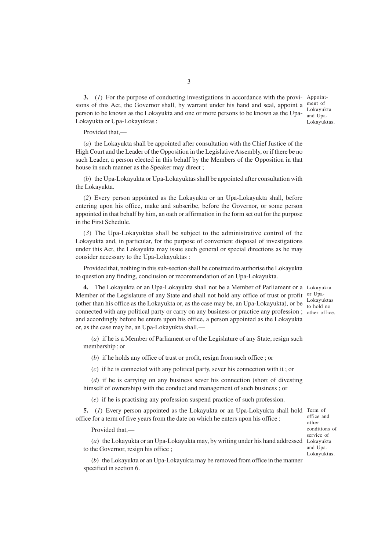**3.** (*1*) For the purpose of conducting investigations in accordance with the provi-Appointsions of this Act, the Governor shall, by warrant under his hand and seal, appoint a  $\frac{\text{ment of}}{\text{I} \cdot \text{b} + \text{b}}$ person to be known as the Lokayukta and one or more persons to be known as the Upa-Lokayukta or Upa-Lokayuktas :

Lokayukta and Upa-Lokayuktas.

Provided that,—

(*a*) the Lokayukta shall be appointed after consultation with the Chief Justice of the High Court and the Leader of the Opposition in the Legislative Assembly, or if there be no such Leader, a person elected in this behalf by the Members of the Opposition in that house in such manner as the Speaker may direct ;

(*b*) the Upa-Lokayukta or Upa-Lokayuktas shall be appointed after consultation with the Lokayukta.

(*2*) Every person appointed as the Lokayukta or an Upa-Lokayukta shall, before entering upon his office, make and subscribe, before the Governor, or some person appointed in that behalf by him, an oath or affirmation in the form set out for the purpose in the First Schedule.

(*3*) The Upa-Lokayuktas shall be subject to the administrative control of the Lokayukta and, in particular, for the purpose of convenient disposal of investigations under this Act, the Lokayukta may issue such general or special directions as he may consider necessary to the Upa-Lokayuktas :

Provided that, nothing in this sub-section shall be construed to authorise the Lokayukta to question any finding, conclusion or recommendation of an Upa-Lokayukta.

**4.** The Lokayukta or an Upa-Lokayukta shall not be a Member of Parliament or a Lokayukta Member of the Legislature of any State and shall not hold any office of trust or profit or Upa-(other than his office as the Lokayukta or, as the case may be, an Upa-Lokayukta), or be Lokayuktas connected with any political party or carry on any business or practice any profession; other office. and accordingly before he enters upon his office, a person appointed as the Lokayukta or, as the case may be, an Upa-Lokayukta shall,—

(*a*) if he is a Member of Parliament or of the Legislature of any State, resign such membership ; or

(*b*) if he holds any office of trust or profit, resign from such office ; or

(*c*) if he is connected with any political party, sever his connection with it ; or

(*d*) if he is carrying on any business sever his connection (short of divesting himself of ownership) with the conduct and management of such business ; or

(*e*) if he is practising any profession suspend practice of such profession.

**5.** (1) Every person appointed as the Lokayukta or an Upa-Lokyukta shall hold Term of office for a term of five years from the date on which he enters upon his office :

Provided that,—

(*a*) the Lokayukta or an Upa-Lokayukta may, by writing under his hand addressed Lokayukta to the Governor, resign his office ;

conditions of service of and Upa-Lokayuktas.

office and other

to hold no

(*b*) the Lokayukta or an Upa-Lokayukta may be removed from office in the manner specified in section 6.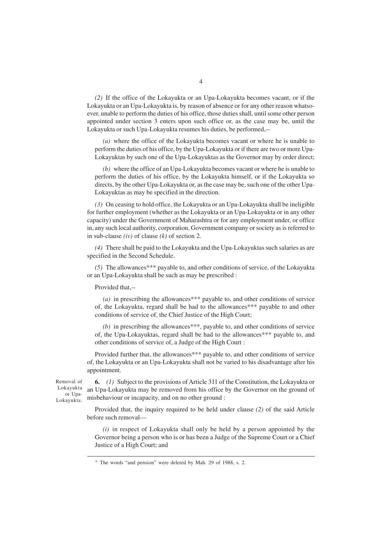*(2)* If the office of the Lokayukta or an Upa-Lokayukta becomes vacant, or if the Lokayukta or an Upa-Lokayukta is, by reason of absence or for any other reason whatsoever, unable to perform the duties of his office, those duties shall, until some other person appointed under section 3 enters upon such office or, as the case may be, until the Lokayukta or such Upa-Lokayukta resumes his duties, be performed,--

*(a)* where the office of the Lokayukta becomes vacant or where he is unable to perform the duties of his office, by the Upa-Lokayukta or if there are two or more Upa-Lokayuktas by such one of the Upa-Lokayuktas as the Governor may by order direct;

*(b)* where the office of an Upa-Lokayukta becomes vacant or where he is unable to perform the duties of his office, by the Lokayukta himself, or if the Lokayukta so directs, by the other Upa-Lokayukta or, as the case may be, such one of the other Upa-Lokayuktas as may be specified in the direction.

*(3)* On ceasing to hold office, the Lokayukta or an Upa-Lokayukta shall be ineligible for further employment (whether as the Lokayukta or an Upa-Lokayukta or in any other capacity) under the Government of Maharashtra or for any employment under, or office in, any such local authority, corporation, Government company or society as is referred to in sub-clause *(iv)* of clause *(k)* of section 2.

*(4)* There shall be paid to the Lokayukta and the Upa-Lokayuktas such salaries as are specified in the Second Schedule.

*(5)* The allowances\*\*\* payable to, and other conditions of service, of the Lokayukta or an Upa-Lokayukta shall be such as may be prescribed :

Provided that,--

*(a)* in prescribing the allowances\*\*\* payable to, and other conditions of service of, the Lokayukta, regard shall be had to the allowances\*\*\* payable to and other conditions of service of, the Chief Justice of the High Court;

*(b)* in prescribing the allowances\*\*\*, payable to, and other conditions of service of, the Upa-Lokayuktas, regard shall be had to the allowances\*\*\* payable to, and other conditions of service of, a Judge of the High Court :

Provided further that, the allowances\*\*\* payable to, and other conditions of service of, the Lokayukta or an Upa-Lokayukta shall not be varied to his disadvantage after his appointment.

Removal of Lokayukta or Upa-Lokayukta.

**6.** *(1)* Subject to the provisions of Article 311 of the Constitution, the Lokayukta or an Upa-Lokayukta may be removed from his office by the Governor on the ground of misbehaviour or incapacity, and on no other ground :

Provided that, the inquiry required to be held under clause *(2)* of the said Article before such removal—

*(i)* in respect of Lokayukta shall only be held by a person appointed by the Governor being a person who is or has been a Judge of the Supreme Court or a Chief Justice of a High Court; and

<sup>\*</sup> The words "and pension" were deleted by Mah. 29 of 1988, s. 2.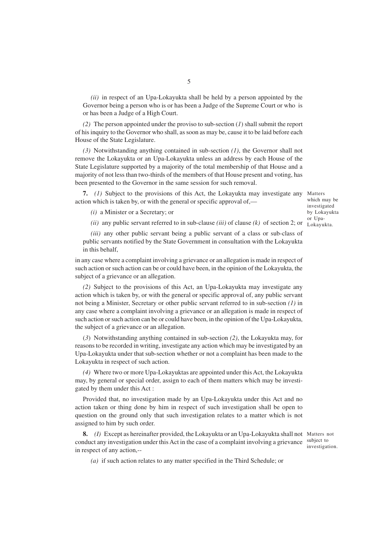*(ii)* in respect of an Upa-Lokayukta shall be held by a person appointed by the Governor being a person who is or has been a Judge of the Supreme Court or who is or has been a Judge of a High Court.

*(2)* The person appointed under the proviso to sub-section (*1*) shall submit the report of his inquiry to the Governor who shall, as soon as may be, cause it to be laid before each House of the State Legislature.

*(3)* Notwithstanding anything contained in sub-section *(1)*, the Governor shall not remove the Lokayukta or an Upa-Lokayukta unless an address by each House of the State Legislature supported by a majority of the total membership of that House and a majority of not less than two-thirds of the members of that House present and voting, has been presented to the Governor in the same session for such removal.

**7.** *(1)* Subject to the provisions of this Act, the Lokayukta may investigate any Matters action which is taken by, or with the general or specific approval of,—

which may be investigated by Lokayukta or Upa-

*(i)* a Minister or a Secretary; or

*(ii)* any public servant referred to in sub-clause *(iii)* of clause *(k)* of section 2; or Lokayukta.

*(iii)* any other public servant being a public servant of a class or sub-class of public servants notified by the State Government in consultation with the Lokayukta in this behalf,

in any case where a complaint involving a grievance or an allegation is made in respect of such action or such action can be or could have been, in the opinion of the Lokayukta, the subject of a grievance or an allegation.

*(2)* Subject to the provisions of this Act, an Upa-Lokayukta may investigate any action which is taken by, or with the general or specific approval of, any public servant not being a Minister, Secretary or other public servant referred to in sub-section *(1)* in any case where a complaint involving a grievance or an allegation is made in respect of such action or such action can be or could have been, in the opinion of the Upa-Lokayukta, the subject of a grievance or an allegation.

(*3*) Notwithstanding anything contained in sub-section *(2)*, the Lokayukta may, for reasons to be recorded in writing, investigate any action which may be investigated by an Upa-Lokayukta under that sub-section whether or not a complaint has been made to the Lokayukta in respect of such action.

*(4)* Where two or more Upa-Lokayuktas are appointed under this Act, the Lokayukta may, by general or special order, assign to each of them matters which may be investigated by them under this Act :

Provided that, no investigation made by an Upa-Lokayukta under this Act and no action taken or thing done by him in respect of such investigation shall be open to question on the ground only that such investigation relates to a matter which is not assigned to him by such order.

**8.** *(I)* Except as hereinafter provided, the Lokayukta or an Upa-Lokayukta shall not Matters not conduct any investigation under this Act in the case of a complaint involving a grievance subject to in respect of any action,--

investigation.

*(a)* if such action relates to any matter specified in the Third Schedule; or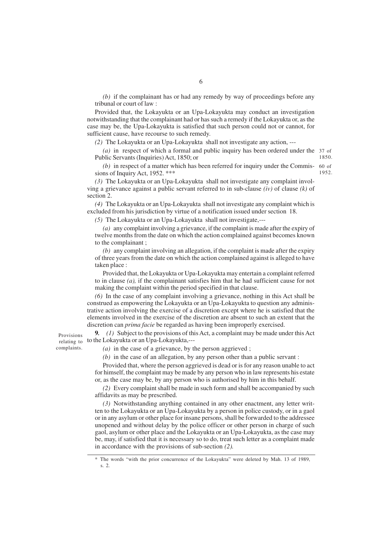*(b)* if the complainant has or had any remedy by way of proceedings before any tribunal or court of law :

Provided that, the Lokayukta or an Upa-Lokayukta may conduct an investigation notwithstanding that the complainant had or has such a remedy if the Lokayukta or, as the case may be, the Upa-Lokayukta is satisfied that such person could not or cannot, for sufficient cause, have recourse to such remedy.

*(2)* The Lokayukta or an Upa-Lokayukta shall not investigate any action, ---

*(a)* in respect of which a formal and public inquiry has been ordered under the 37 of Public Servants (Inquiries) Act, 1850; or 1850.

(b) in respect of a matter which has been referred for inquiry under the Commis- 60 of sions of Inquiry Act, 1952. \*\*\* 1952.

*(3)* The Lokayukta or an Upa-Lokayukta shall not investigate any complaint involving a grievance against a public servant referred to in sub-clause *(iv)* of clause *(k)* of section 2.

*(4)* The Lokayukta or an Upa-Lokayukta shall not investigate any complaint which is excluded from his jurisdiction by virtue of a notification issued under section 18.

*(5)* The Lokayukta or an Upa-Lokayukta shall not investigate,---

*(a)* any complaint involving a grievance, if the complaint is made after the expiry of twelve months from the date on which the action complained against becomes known to the complainant ;

*(b)* any complaint involving an allegation, if the complaint is made after the expiry of three years from the date on which the action complained against is alleged to have taken place :

Provided that, the Lokayukta or Upa-Lokayukta may entertain a complaint referred to in clause *(a),* if the complainant satisfies him that he had sufficient cause for not making the complaint within the period specified in that clause.

*(6)* In the case of any complaint involving a grievance, nothing in this Act shall be construed as empowering the Lokayukta or an Upa-Lokayukta to question any administrative action involving the exercise of a discretion except where he is satisfied that the elements involved in the exercise of the discretion are absent to such an extent that the discretion can *prima facie* be regarded as having been improperly exercised.

**9***. (1)* Subject to the provisions of this Act, a complaint may be made under this Act to the Lokayukta or an Upa-Lokayukta,---

*(a)* in the case of a grievance, by the person aggrieved ;

Provisions relating to complaints.

*(b)* in the case of an allegation, by any person other than a public servant :

Provided that, where the person aggrieved is dead or is for any reason unable to act for himself, the complaint may be made by any person who in law represents his estate or, as the case may be, by any person who is authorised by him in this behalf.

*(2)* Every complaint shall be made in such form and shall be accompanied by such affidavits as may be prescribed.

*(3)* Notwithstanding anything contained in any other enactment, any letter written to the Lokayukta or an Upa-Lokayukta by a person in police custody, or in a gaol or in any asylum or other place for insane persons, shall be forwarded to the addressee unopened and without delay by the police officer or other person in charge of such gaol, asylum or other place and the Lokayukta or an Upa-Lokayukta, as the case may be, may, if satisfied that it is necessary so to do, treat such letter as a complaint made in accordance with the provisions of sub-section *(2).*

<sup>\*</sup> The words "with the prior concurrence of the Lokayukta" were deleted by Mah. 13 of 1989, s. 2.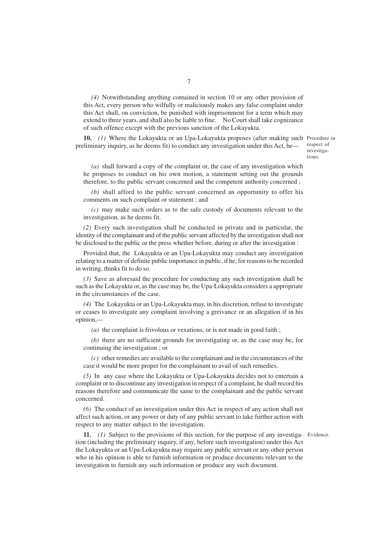*(4)* Notwithstanding anything contained in section 10 or any other provision of this Act, every person who wilfully or maliciously makes any false complaint under this Act shall, on conviction, be punished with imprisonment for a term which may extend to three years, and shall also be liable to fine. No Court shall take cognizance of such offence except with the previous sanction of the Lokayukta.

**10.** *(1)* Where the Lokayukta or an Upa-Lokayukta proposes (after making such Procedure in preliminary inquiry, as he deems fit) to conduct any investigation under this Act, he—

respect of investigations.

*(a)* shall forward a copy of the complaint or, the case of any investigation which he proposes to conduct on his own motion, a statement setting out the grounds therefore, to the public servant concerned and the competent authority concerned ;

*(b)* shall afford to the public servant concerned an opportunity to offer his comments on such complaint or statement ; and

*(c)* may make such orders as to the safe custody of documents relevant to the investigation, as he deems fit.

*(2)* Every such investigation shall be conducted in private and in particular, the identity of the complainant and of the public servant affected by the investigation shall not be disclosed to the public or the press whether before, during or after the investigation :

Provided that, the Lokayukta or an Upa-Lokayukta may conduct any investigation relating to a matter of definite public importance in public, if he, for reasons to be recorded in writing, thinks fit to do so.

*(3)* Save as aforesaid the procedure for conducting any such investigation shall be such as the Lokayukta or, as the case may be, the Upa-Lokayukta considers a appropriate in the circumstances of the case.

*(4)* The Lokayukta or an Upa-Lokayukta may, in his discretion, refuse to investigate or ceases to investigate any complaint involving a greivance or an allegation if in his opinion,---

*(a)* the complaint is frivolous or vexatious, or is not made in good faith ;

*(b)* there are no sufficient grounds for investigating or, as the case may be, for continuing the investigation ; or

*(c)* other remedies are available to the complainant and in the circumstances of the case it would be more proper for the complainant to avail of such remedies.

*(5)* In any case where the Lokayukta or Upa-Lokayukta decides not to entertain a complaint or to discontinue any investigation in respect of a complaint, he shall record his reasons therefore and communicate the same to the complainant and the public servant concerned.

*(6)* The conduct of an investigation under this Act in respect of any action shall not affect such action, or any power or duty of any public servant to take further action with respect to any matter subject to the investigation.

**11.** *(1)* Subject to the provisions of this section, for the purpose of any investiga-Evidence. tion (including the preliminary inquiry, if any, before such investigation) under this Act the Lokayukta or an Upa-Lokayukta may require any public servant or any other person who in his opinion is able to furnish information or produce documents relevant to the investigation to furnish any such information or produce any such document.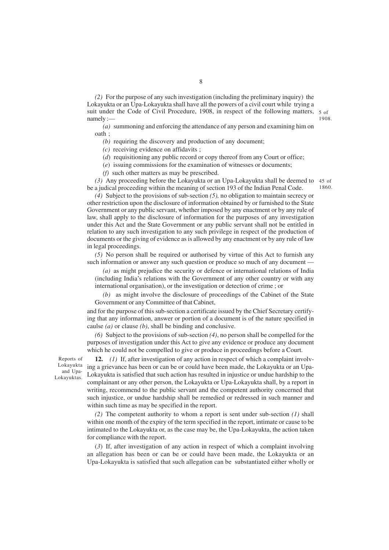*(2)* For the purpose of any such investigation (including the preliminary inquiry) the Lokayukta or an Upa-Lokayukta shall have all the powers of a civil court while trying a suit under the Code of Civil Procedure, 1908, in respect of the following matters, 5 of namely :— 1908.

*(a)* summoning and enforcing the attendance of any person and examining him on oath ;

*(b)* requiring the discovery and production of any document:

*(c)* receiving evidence on affidavits ;

(*d*) requisitioning any public record or copy thereof from any Court or office;

(*e*) issuing commissions for the examination of witnesses or documents;

*(f)* such other matters as may be prescribed.

*(3)* Any proceeding before the Lokayukta or an Upa-Lokayukta shall be deemed to 45 of be a judical proceeding within the meaning of section 193 of the Indian Penal Code. 1860.

*(4)* Subject to the provisions of sub-section *(5),* no obligation to maintain secrecy or other restriction upon the disclosure of information obtained by or furnished to the State Government or any public servant, whether imposed by any enactment or by any rule of law, shall apply to the disclosure of information for the purposes of any investigation under this Act and the State Government or any public servant shall not be entitled in relation to any such investigation to any such privilege in respect of the production of documents or the giving of evidence as is allowed by any enactment or by any rule of law in legal proceedings.

*(5)* No person shall be required or authorised by virtue of this Act to furnish any such information or answer any such question or produce so much of any document –

*(a)* as might prejudice the security or defence or international relations of India (including India's relations with the Government of any other country or with any international organisation), or the investigation or detection of crime ; or

*(b)* as might involve the disclosure of proceedings of the Cabinet of the State Government or any Committee of that Cabinet,

and for the purpose of this sub-section a certificate issued by the Chief Secretary certifying that any information, answer or portion of a document is of the nature specified in caulse *(a)* or clause *(b)*, shall be binding and conclusive.

*(6)* Subject to the provisions of sub-section *(4)*, no person shall be compelled for the purposes of investigation under this Act to give any evidence or produce any document which he could not be compelled to give or produce in proceedings before a Court.

Reports of Lokayukta and Upa-Lokayuktas.

**12.** *(1)* If, after investigation of any action in respect of which a complaint involving a grievance has been or can be or could have been made, the Lokayukta or an Upa-Lokayukta is satisfied that such action has resulted in injustice or undue hardship to the complainant or any other person, the Lokayukta or Upa-Lokayukta shall, by a report in writing, recommend to the public servant and the competent authority concerned that such injustice, or undue hardship shall be remedied or redressed in such manner and within such time as may be specified in the report.

*(2)* The competent authority to whom a report is sent under sub-section *(1)* shall within one month of the expiry of the term specified in the report, intimate or cause to be intimated to the Lokayukta or, as the case may be, the Upa-Lokayukta, the action taken for compliance with the report.

(*3*) If, after investigation of any action in respect of which a complaint involving an allegation has been or can be or could have been made, the Lokayukta or an Upa-Lokayukta is satisfied that such allegation can be substantiated either wholly or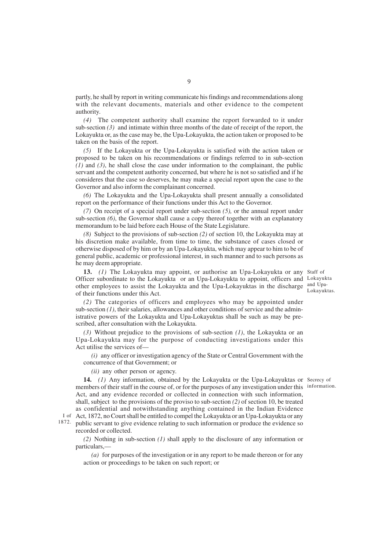partly, he shall by report in writing communicate his findings and recommendations along with the relevant documents, materials and other evidence to the competent authority.

*(4)* The competent authority shall examine the report forwarded to it under sub-section *(3)* and intimate within three months of the date of receipt of the report, the Lokayukta or, as the case may be, the Upa-Lokayukta, the action taken or proposed to be taken on the basis of the report.

*(5)* If the Lokayukta or the Upa-Lokayukta is satisfied with the action taken or proposed to be taken on his recommendations or findings referred to in sub-section *(1)* and *(3)*, he shall close the case under information to the complainant, the public servant and the competent authority concerned, but where he is not so satisfied and if he consideres that the case so deserves, he may make a special report upon the case to the Governor and also inform the complainant concerned.

*(6)* The Lokayukta and the Upa-Lokayukta shall present annually a consolidated report on the performance of their functions under this Act to the Governor.

*(7)* On receipt of a special report under sub-section *(5),* or the annual report under sub-section *(6)*, the Governor shall cause a copy thereof together with an explanatory memorandum to be laid before each House of the State Legislature.

*(8)* Subject to the provisions of sub-section *(2)* of section 10, the Lokayukta may at his discretion make available, from time to time, the substance of cases closed or otherwise disposed of by him or by an Upa-Lokayukta, which may appear to him to be of general public, academic or professional interest, in such manner and to such persons as he may deem appropriate.

**13.** *(1)* The Lokayukta may appoint, or authorise an Upa-Lokayukta or any Staff of Officer subordinate to the Lokayukta or an Upa-Lokayukta to appoint, officers and Lokayukta other employees to assist the Lokayukta and the Upa-Lokayuktas in the discharge and Upaof their functions under this Act.

Lokayuktas.

*(2)* The categories of officers and employees who may be appointed under sub-section *(1)*, their salaries, allowances and other conditions of service and the administrative powers of the Lokayukta and Upa-Lokayuktas shall be such as may be prescribed, after consultation with the Lokayukta.

*(3)* Without prejudice to the provisions of sub-section *(1)*, the Lokayukta or an Upa-Lokayukta may for the purpose of conducting investigations under this Act utilise the services of—

*(i)* any officer or investigation agency of the State or Central Government with the concurrence of that Government; or

*(ii)* any other person or agency.

**14.** *(1)* Any information, obtained by the Lokayukta or the Upa-Lokayuktas or Secrecy of members of their staff in the course of, or for the purposes of any investigation under this information. Act, and any evidence recorded or collected in connection with such information,

shall, subject to the provisions of the proviso to sub-section *(2)* of section 10, be treated as confidential and notwithstanding anything contained in the Indian Evidence Act, 1872, no Court shall be entitled to compel the Lokayukta or an Upa-Lokayukta or any I of

1872. public servant to give evidence relating to such information or produce the evidence so recorded or collected.

*(2)* Nothing in sub-section *(1)* shall apply to the disclosure of any information or particulars,—

*(a)* for purposes of the investigation or in any report to be made thereon or for any action or proceedings to be taken on such report; or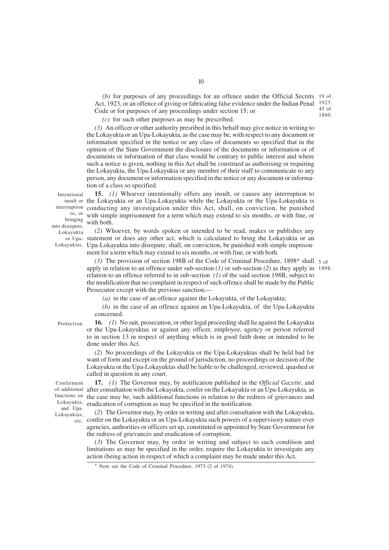(b) for purposes of any proceedings for an offence under the Official Secrets 19 of Act, 1923, or an offence of giving or fabricating false evidence under the Indian Penal 1923. Code or for purposes of any proceedings under section 15; or 45 of 1860.

*(c)* for such other purposes as may be prescribed.

*(3)* An officer or other authority presribed in this behalf may give notice in writing to the Lokayukta or an Upa-Lokayukta, as the case may be, with respect to any document or information specified in the notice or any class of documents so specified that in the opinion of the State Government the disclosure of the documents or information or of documents or information of that class would be contrary to public interest and where such a notice is given, nothing in this Act shall be construed as authorising or requiring the Lokayukta, the Upa-Lokayukta or any member of their staff to communicate to any person, any document or information specified in the notice or any document or information of a class so specified.

Intentional to, or bringing into disrepute, Lokayukta

**15.** *(1)* Whoever intentionally offers any insult, or causes any interruption to the Lokayukta or an Upa-Lokayukta while the Lokayukta or the Upa-Lokayukta is insult or interruption conducting any investigation under this Act, shall, on conviction, be punished with simple imprisonment for a term which may extend to six months, or with fine, or with both.

*(2)* Whoever, by words spoken or intended to be read, makes or publishes any or Upa- statement or does any other act, which is calculated to bring the Lokayukta or an Lokayuktas. Upa-Lokayukta into disrepute, shall, on conviction, be punished with simple imprisonment for a term which may extend to six months, or with fine, or with both.

> (3) The provision of section 198B of the Code of Criminal Procedure, 1898\* shall 5 of apply in relation to an offence under sub-section *(1)* or sub-section *(2)* as they apply in 1898. relation to an offence referred to in sub-section *(1)* of the said section 198B, subject to the modification that no complaint in respect of such offence shall be made by the Public Prosecutor except with the previous sanction,—

*(a)* in the case of an offence against the Lokayukta, of the Lokayukta;

*(b)* in the case of an offence against an Upa-Lokayukta, of the Upa-Lokayukta concerned.

Protection.

**16.** *(1)* No suit, prosecution, or other legal proceeding shall lie against the Lokayukta or the Upa-Lokayuktas or against any officer, employee, agency or person referred to in section 13 in respect of anything which is in good faith done or intended to be done under this Act.

*(2)* No proceedings of the Lokayukta or the Upa-Lokayuktas shall be held bad for want of form and except on the ground of jurisdiction, no proceedings or decision of the Lokayukta or the Upa-Lokayuktas shall be liable to be challenged, reviewed, quashed or called in question in any court.

Conferment and Upa-Lokayuktas,

**17.** *(1)* The Governor may, by notification published in the *Official Gazette*, and of additional after consultation with the Lokayukta, confer on the Lokayukta or an Upa-Lokayukta, as functions on the case may be, such additional functions in relation to the redress of grievances and Lokayukta, eradication of corruption as may be specified in the notification.

(*2*) The Governor may, by order in writing and after consultation with the Lokayukta, etc. confer on the Lokayukta or an Upa-Lokayukta such powers of a supervisory nature over agencies, authorities or officers set up, constituted or appointed by State Government for the redress of grievances and eradication of corruption.

(*3*) The Governor may, by order in writing and subject to such condition and limitations as may be specified in the order, require the Lokayukta to investigate any action (being action in respect of which a complaint may be made under this Act,

<sup>\*</sup> Now see the Code of Criminal Procedure, 1973 (2 of 1974).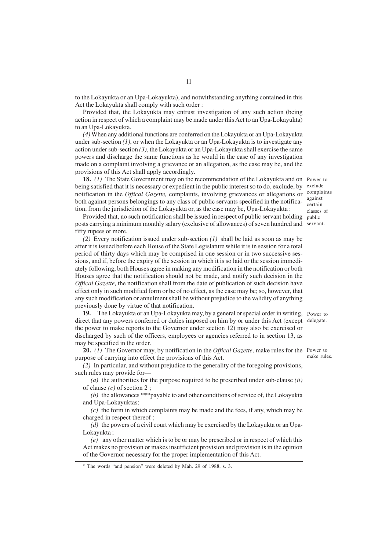to the Lokayukta or an Upa-Lokayukta), and notwithstanding anything contained in this Act the Lokayukta shall comply with such order :

Provided that, the Lokayukta may entrust investigation of any such action (being action in respect of which a complaint may be made under this Act to an Upa-Lokayukta) to an Upa-Lokayukta.

*(4)* When any additional functions are conferred on the Lokayukta or an Upa-Lokayukta under sub-section *(1)*, or when the Lokayukta or an Upa-Lokayukta is to investigate any action under sub-section *(3)*, the Lokayukta or an Upa-Lokayukta shall exercise the same powers and discharge the same functions as he would in the case of any investigation made on a complaint involving a grievance or an allegation, as the case may be, and the provisions of this Act shall apply accordingly.

**18.** *(1)* The State Government may on the recommendation of the Lokayukta and on Power to being satisfied that it is necessary or expedient in the public interest so to do, exclude, by exclude notification in the *Offical Gazette,* complaints, involving grievances or allegations or complaints both against persons belongings to any class of public servants specified in the notification, from the jurisdiction of the Lokayukta or, as the case may be, Upa-Lokayukta :

Provided that, no such notification shall be issued in respect of public servant holding public posts carrying a minimum monthly salary (exclusive of allowances) of seven hundred and servant. fifty rupees or more.

*(2)* Every notification issued under sub-section *(1)* shall be laid as soon as may be after it is issued before each House of the State Legislature while it is in session for a total period of thirty days which may be comprised in one session or in two successive sessions, and if, before the expiry of the session in which it is so laid or the session immediately following, both Houses agree in making any modification in the notification or both Houses agree that the notification should not be made, and notify such decision in the *Offical Gazette,* the notification shall from the date of publication of such decision have effect only in such modified form or be of no effect, as the case may be; so, however, that any such modification or annulment shall be without prejudice to the validity of anything previously done by virtue of that notification.

**19.** The Lokayukta or an Upa-Lokayukta may, by a general or special order in writing, Power to direct that any powers conferred or duties imposed on him by or under this Act (except delegate. the power to make reports to the Governor under section 12) may also be exercised or discharged by such of the officers, employees or agencies referred to in section 13, as may be specified in the order.

**20.** *(1)* The Governor may, by notification in the *Offical Gazette*, make rules for the Power to purpose of carrying into effect the provisions of this Act.

*(2)* In particular, and without prejudice to the generality of the foregoing provisions, such rules may provide for—

*(a)* the authorities for the purpose required to be prescribed under sub-clause *(ii)* of clause *(c)* of section 2 ;

*(b)* the allowances \*\*\*payable to and other conditions of service of, the Lokayukta and Upa-Lokayuktas;

*(c)* the form in which complaints may be made and the fees, if any, which may be charged in respect thereof ;

*(d)* the powers of a civil court which may be exercised by the Lokayukta or an Upa-Lokayukta ;

*(e)* any other matter which is to be or may be prescribed or in respect of which this Act makes no provision or makes insufficient provision and provision is in the opinion of the Governor necessary for the proper implementation of this Act.

against certain classes of

make rules.

<sup>\*</sup> The words "and pension" were deleted by Mah. 29 of 1988, s. 3.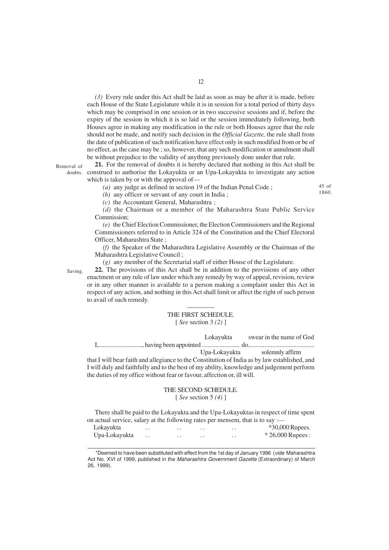*(3)* Every rule under this Act shall be laid as soon as may be after it is made, before each House of the State Legislature while it is in session for a total period of thirty days which may be comprised in one session or in two successive sessions and if, before the expiry of the session in which it is so laid or the session immediately following, both Houses agree in making any modification in the rule or both Houses agree that the rule should not be made, and notify such decision in the *Official Gazette,* the rule shall from the date of publication of such notification have effect only in such modified from or be of no effect, as the case may be ; so, however, that any such modification or annulment shall be without prejudice to the validity of anything previously done under that rule.

Removal of

**21.** For the removal of doubts it is hereby declared that nothing in this Act shall be construed to authorise the Lokayukta or an Upa-Lokayukta to investigate any action doubts. which is taken by or with the approval of—

*(a)* any judge as defined in section 19 of the Indian Penal Code ;

45 of 1860.

*(b)* any officer or servant of any court in India ;

*(c)* the Accountant General, Maharashtra ;

*(d)* the Chairman or a member of the Maharashtra State Public Service Commission;

*(e)* the Chief Election Commissioner, the Election Commissioners and the Regional Commissioners referred to in Article 324 of the Constitution and the Chief Electoral Officer, Maharashtra State ;

*(f)* the Speaker of the Maharashtra Legislative Assembly or the Chairman of the Maharashtra Legislative Council ;

*(g)* any member of the Secretarial staff of either House of the Legislature.

**22.** The provisions of this Act shall be in addition to the provisions of any other enactment or any rule of law under which any remedy by way of appeal, revision, review or in any other manner is available to a person making a complaint under this Act in respect of any action, and nothing in this Act shall limit or affect the right of such person to avail of such remedy. Saving.

### -------------- THE FIRST SCHEDULE. [ *See* section 3 *(2)* ]

Lokayukta swear in the name of God

I,............................., having been appointed ......................... do............................................

Upa-Lokayukta solemnly affirm

that I will bear faith and allegiance to the Constitution of India as by law established, and I will duly and faithfully and to the best of my ability, knowledge and judgement perform the duties of my office without fear or favour, affection or, ill will.

## THE SECOND SCHEDULE.

[ *See* section 5 *(4)* ]

There shall be paid to the Lokayukta and the Upa-Lokayuktas in respect of time spent on actual service, salary at the following rates per mensem, that is to say :—

Lokayukta . . . . . . . . \*30,000 Rupees. Upa-Lokayukta . . . . . . . . \* 26,000 Rupees :

<sup>\*</sup>Deemed to have been substituted with effect from the 1st day of January 1996 (vide Maharashtra Act No. XVI of 1999, published in the Maharashtra Government Gazette (Extraordinary) of March 26, 1999).